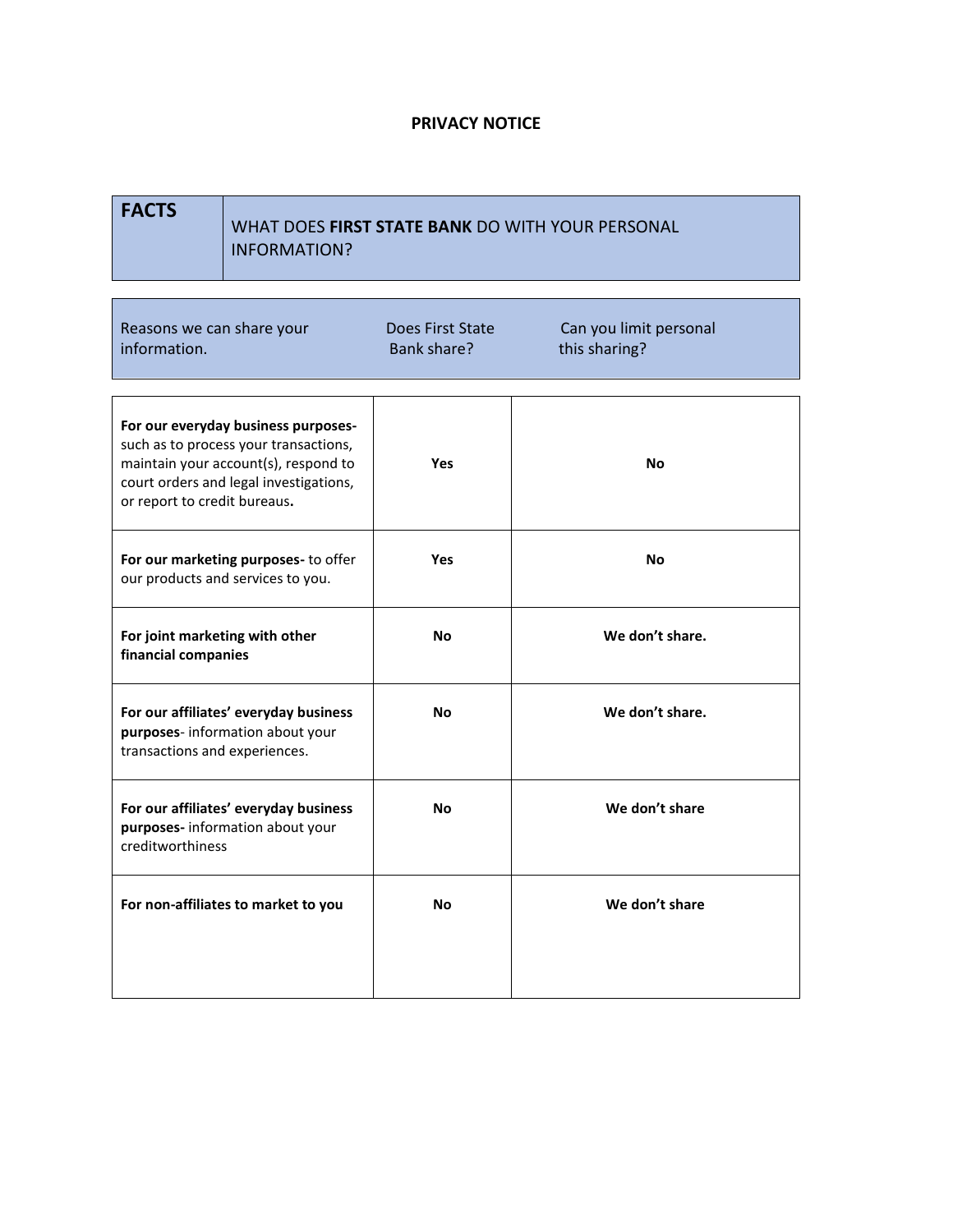## **PRIVACY NOTICE**

```
FACTS
```
Г

## WHAT DOES **FIRST STATE BANK** DO WITH YOUR PERSONAL INFORMATION?

| Reasons we can share your<br>information.                                                                                                                                                      | Does First State<br>Bank share? | Can you limit personal<br>this sharing? |
|------------------------------------------------------------------------------------------------------------------------------------------------------------------------------------------------|---------------------------------|-----------------------------------------|
| For our everyday business purposes-<br>such as to process your transactions,<br>maintain your account(s), respond to<br>court orders and legal investigations,<br>or report to credit bureaus. | Yes                             | <b>No</b>                               |
| For our marketing purposes- to offer<br>our products and services to you.                                                                                                                      | Yes                             | <b>No</b>                               |
| For joint marketing with other<br>financial companies                                                                                                                                          | Nο                              | We don't share.                         |
| For our affiliates' everyday business<br>purposes- information about your<br>transactions and experiences.                                                                                     | No                              | We don't share.                         |
| For our affiliates' everyday business<br>purposes- information about your<br>creditworthiness                                                                                                  | Nο                              | We don't share                          |
| For non-affiliates to market to you                                                                                                                                                            | Nο                              | We don't share                          |
|                                                                                                                                                                                                |                                 |                                         |